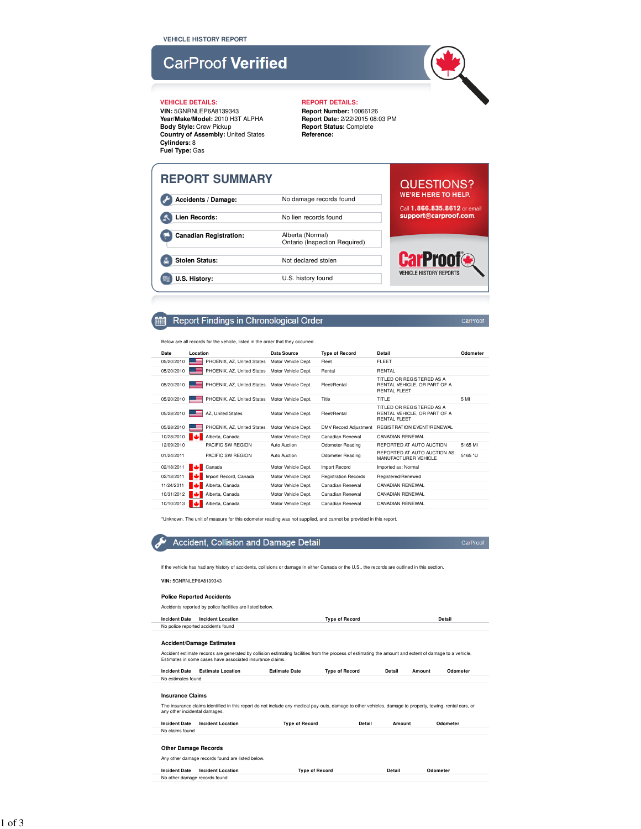# **CarProof Verified**

**VIN:** 5GNRNLEP6A8139343 **Year/Make/Model:** 2010 H3T ALPHA **Body Style:** Crew Pickup **Country of Assembly:** United States **Cylinders:** 8 **Fuel Type:** Gas

### **VEHICLE DETAILS: REPORT DETAILS:**

**Report Number:** 10066126 **Report Date:** 2/22/2015 08:03 PM **Report Status:** Complete **Reference:**

| <b>REPORT SUMMARY</b>         |                                                   | QUESTIONS?                                            |
|-------------------------------|---------------------------------------------------|-------------------------------------------------------|
| Accidents / Damage:           | No damage records found                           | <b>WE'RE HERE TO HELP.</b>                            |
| Lien Records:                 | No lien records found                             | Call 1.866.835.8612 or email<br>support@carproof.com. |
| <b>Canadian Registration:</b> | Alberta (Normal)<br>Ontario (Inspection Required) |                                                       |
| <b>Stolen Status:</b>         | Not declared stolen                               | <b>CarProof®</b>                                      |
| U.S. History:                 | U.S. history found                                | <b>VEHICLE HISTORY REPORTS</b>                        |

#### Report Findings in Chronological Order **Find**

Below are all records for the vehicle, listed in the order that they occurred.

| Date       | Location                                       | Data Source         | <b>Type of Record</b>        | Detail                                                                           | Odometer |
|------------|------------------------------------------------|---------------------|------------------------------|----------------------------------------------------------------------------------|----------|
| 05/20/2010 | PHOENIX, AZ, United States                     | Motor Vehicle Dept. | Fleet                        | FI FFT                                                                           |          |
| 05/20/2010 | PHOENIX, AZ, United States                     | Motor Vehicle Dept. | Rental                       | <b>RENTAL</b>                                                                    |          |
| 05/20/2010 | PHOENIX, AZ, United States Motor Vehicle Dept. |                     | Fleet/Rental                 | TITLED OR REGISTERED AS A<br>RENTAL VEHICLE, OR PART OF A<br><b>RENTAL FLEET</b> |          |
| 05/20/2010 | PHOENIX, AZ, United States Motor Vehicle Dept. |                     | Title                        | TITLE                                                                            | 5 MI     |
| 05/28/2010 | AZ, United States                              | Motor Vehicle Dept. | Fleet/Rental                 | TITLED OR REGISTERED AS A<br>RENTAL VEHICLE, OR PART OF A<br><b>RENTAL FLEET</b> |          |
| 05/28/2010 | PHOENIX, AZ, United States                     | Motor Vehicle Dept. | <b>DMV Record Adjustment</b> | <b>REGISTRATION EVENT/RENEWAL</b>                                                |          |
| 10/28/2010 | Alberta, Canada                                | Motor Vehicle Dept. | Canadian Renewal             | CANADIAN RENEWAL                                                                 |          |
| 12/09/2010 | PACIFIC SW REGION                              | Auto Auction        | <b>Odometer Reading</b>      | REPORTED AT AUTO AUCTION                                                         | 5165 MI  |
| 01/24/2011 | PACIFIC SW REGION                              | Auto Auction        | <b>Odometer Reading</b>      | REPORTED AT AUTO AUCTION AS<br>MANUFACTURER VEHICLE                              | 5165 *U  |
| 02/18/2011 | Canada                                         | Motor Vehicle Dept. | Import Record                | Imported as: Normal                                                              |          |
| 02/18/2011 | Import Record, Canada                          | Motor Vehicle Dept. | <b>Registration Records</b>  | Registered/Renewed                                                               |          |
| 11/24/2011 | Alberta, Canada                                | Motor Vehicle Dept. | Canadian Renewal             | CANADIAN RENEWAL                                                                 |          |
| 10/31/2012 | Alberta, Canada                                | Motor Vehicle Dept. | Canadian Renewal             | CANADIAN RENEWAL                                                                 |          |
| 10/10/2013 | Alberta, Canada                                | Motor Vehicle Dept. | Canadian Renewal             | CANADIAN RENEWAL                                                                 |          |

\*Unknown. The unit of measure for this odometer reading was not supplied, and cannot be provided in this report.



CarProof

If the vehicle has had any history of accidents, collisions or damage in either Canada or the U.S., the records are outlined in this section.

### **VIN:** 5GNRNLEP6A8139343

### **Police Reported Accidents**

Accidents reported by police facilities are listed below. **Incident Date Incident Location Type of Record Detail**

### No police reported accidents found **Accident/Damage Estimates**

Accident estimate records are generated by collision estimating facilities from the process of estimating the amount and extent of damage to a vehicle. Estimates in some cases have associated insurance claims.

**Incident Date Estimate Location Estimate Date Type of Record Detail Amount Odometer** No estimates found

### **Insurance Claims**

The insurance claims identified in this report do not include any medical pay-outs, damage to other vehicles, damage to property, towing, rental cars, or any other incidental damages.

| Incident Date   | Incident Location | Type of Record | Detail | Amount | Odometer |
|-----------------|-------------------|----------------|--------|--------|----------|
| No claims found |                   |                |        |        |          |
|                 |                   |                |        |        |          |
| $-$             |                   |                |        |        |          |

### **Other Damage Records**

Any other damage records found are listed below.

**Incident Date Incident Location Type of Record Detail Odometer** No other damage records found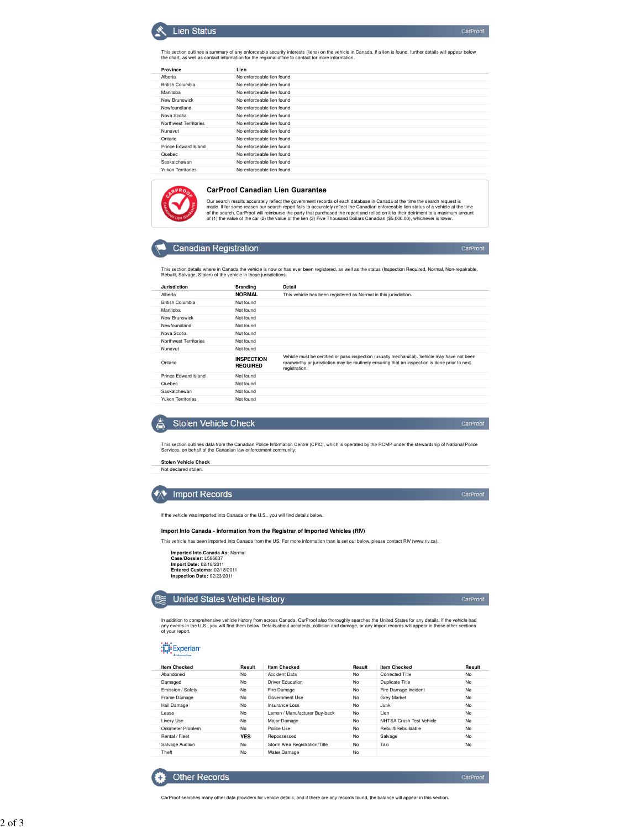### **Lien Status**

This section outlines a summary of any enforceable security interests (liens) on the vehicle in Canada. If a lien is found, further details will appear below<br>the chart, as well as contact information for the regional offic

| Province                 |                           |
|--------------------------|---------------------------|
|                          | Lien                      |
| Alberta                  | No enforceable lien found |
| <b>British Columbia</b>  | No enforceable lien found |
| Manitoba                 | No enforceable lien found |
| New Brunswick            | No enforceable lien found |
| Newfoundland             | No enforceable lien found |
| Nova Scotia              | No enforceable lien found |
| Northwest Territories    | No enforceable lien found |
| Nunavut                  | No enforceable lien found |
| Ontario                  | No enforceable lien found |
| Prince Edward Island     | No enforceable lien found |
| Quebec                   | No enforceable lien found |
| Saskatchewan             | No enforceable lien found |
| <b>Yukon Territories</b> | No enforceable lien found |
|                          |                           |



#### **CarProof Canadian Lien Guarantee**

Our search results accurately reflect the government records of each database in Canada at the time the search request is<br>made. If for some reason our search report fails to accurately reflect the Canadian enforceable lien

### **Canadian Registration**

This section details where in Canada the vehicle is now or has ever been registered, as well as the status (Inspection Required, Normal, Non-repairable, Rebuilt, Salvage, Stolen) of the vehicle in those jurisdictions.

| Jurisdiction            | <b>Branding</b>                      | Detail                                                                                                                                                                                                         |
|-------------------------|--------------------------------------|----------------------------------------------------------------------------------------------------------------------------------------------------------------------------------------------------------------|
| Alberta                 | <b>NORMAL</b>                        | This vehicle has been registered as Normal in this jurisdiction.                                                                                                                                               |
| <b>British Columbia</b> | Not found                            |                                                                                                                                                                                                                |
| Manitoba                | Not found                            |                                                                                                                                                                                                                |
| New Brunswick           | Not found                            |                                                                                                                                                                                                                |
| Newfoundland            | Not found                            |                                                                                                                                                                                                                |
| Nova Scotia             | Not found                            |                                                                                                                                                                                                                |
| Northwest Territories   | Not found                            |                                                                                                                                                                                                                |
| Nunavut                 | Not found                            |                                                                                                                                                                                                                |
| Ontario                 | <b>INSPECTION</b><br><b>REQUIRED</b> | Vehicle must be certified or pass inspection (usually mechanical). Vehicle may have not been<br>roadworthy or jurisdiction may be routinely ensuring that an inspection is done prior to next<br>registration. |
| Prince Edward Island    | Not found                            |                                                                                                                                                                                                                |
| Quebec                  | Not found                            |                                                                                                                                                                                                                |
| Saskatchewan            | Not found                            |                                                                                                                                                                                                                |
| Yukon Territories       | Not found                            |                                                                                                                                                                                                                |



This section outlines data from the Canadian Police Information Centre (CPIC), which is operated by the RCMP under the stewardship of National Police Services, on behalf of the Canadian law enforcement community.

**Stolen Vehicle Check** Not declared stolen.

## **◆ Import Records**

If the vehicle was imported into Canada or the U.S., you will find details below.

#### **Import Into Canada - Information from the Registrar of Imported Vehicles (RIV)**

This vehicle has been imported into Canada from the US. For more information than is set out below, please contact RIV (www.riv.ca).

**Imported Into Canada As:** Normal **Case/Dossier:** L566637 **Import Date:** 02/18/2011 **Entered Customs:** 02/18/2011 **Inspection Date:** 02/23/2011



In addition to comprehensive vehicle history from across Canada, CarProof also thoroughly searches the United States for any details. If the vehicle had<br>any events in the U.S., you will find them below. Details about accid of your report.

Experian

**Other Records** 

| <b>Item Checked</b> | Result     | <b>Item Checked</b>           | Result | <b>Item Checked</b>      | Result    |
|---------------------|------------|-------------------------------|--------|--------------------------|-----------|
| Abandoned           | No         | <b>Accident Data</b>          | No     | Corrected Title          | No        |
| Damaged             | No         | <b>Driver Education</b>       | No     | Duplicate Title          | <b>No</b> |
| Emission / Safety   | No         | Fire Damage                   | No     | Fire Damage Incident     | <b>No</b> |
| Frame Damage        | No         | Government Use                | No     | <b>Grey Market</b>       | <b>No</b> |
| Hail Damage         | No         | Insurance Loss                | No     | <b>Junk</b>              | <b>No</b> |
| <b>Lease</b>        | No         | Lemon / Manufacturer Buv-back | No     | Lien                     | No        |
| Livery Use          | No         | Maior Damage                  | No     | NHTSA Crash Test Vehicle | No        |
| Odometer Problem    | No         | Police Use                    | No     | Rebuilt/Rebuildable      | No        |
| Rental / Fleet      | <b>YES</b> | Repossessed                   | No     | Salvage                  | No        |
| Salvage Auction     | No         | Storm Area Registration/Title | No     | Taxi                     | No        |
| Theft               | No         | Water Damage                  | No     |                          |           |

CarProof

CarProof

CarProof